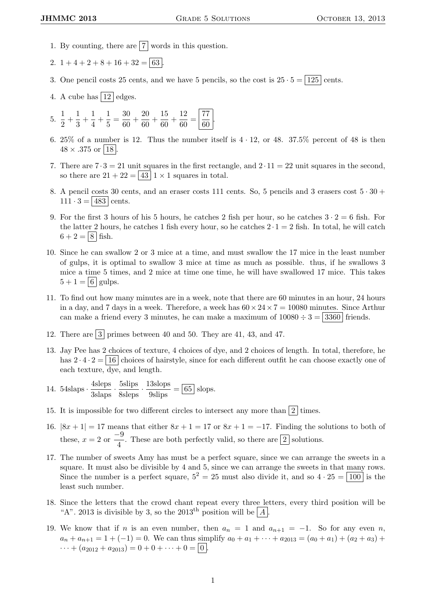- 1. By counting, there are  $\boxed{7}$  words in this question.
- 2.  $1+4+2+8+16+32 = \boxed{63}$ .
- 3. One pencil costs 25 cents, and we have 5 pencils, so the cost is  $25 \cdot 5 = |125|$  cents.
- 4. A cube has  $|12|$  edges.
- $5. \frac{1}{2}$  $\frac{1}{2} + \frac{1}{3}$  $\frac{1}{3} + \frac{1}{4}$  $\frac{1}{4} + \frac{1}{5}$  $\frac{1}{5} = \frac{30}{60}$  $\frac{30}{60} + \frac{20}{60}$  $\frac{20}{60} + \frac{15}{60}$  $\frac{15}{60} + \frac{12}{60}$  $\frac{12}{60} = \frac{77}{60}$  $\frac{1}{60}$ .
- 6. 25% of a number is 12. Thus the number itself is  $4 \cdot 12$ , or 48. 37.5% percent of 48 is then  $48 \times .375$  or | 18 |
- 7. There are  $7 \cdot 3 = 21$  unit squares in the first rectangle, and  $2 \cdot 11 = 22$  unit squares in the second, so there are  $21 + 22 = |43|1 \times 1$  squares in total.
- 8. A pencil costs 30 cents, and an eraser costs 111 cents. So, 5 pencils and 3 erasers cost  $5 \cdot 30 +$  $111 \cdot 3 = |483|$  cents.
- 9. For the first 3 hours of his 5 hours, he catches 2 fish per hour, so he catches  $3 \cdot 2 = 6$  fish. For the latter 2 hours, he catches 1 fish every hour, so he catches  $2 \cdot 1 = 2$  fish. In total, he will catch  $6 + 2 = |8|$  fish.
- 10. Since he can swallow 2 or 3 mice at a time, and must swallow the 17 mice in the least number of gulps, it is optimal to swallow 3 mice at time as much as possible. thus, if he swallows 3 mice a time 5 times, and 2 mice at time one time, he will have swallowed 17 mice. This takes  $5 + 1 = |6|$  gulps.
- 11. To find out how many minutes are in a week, note that there are 60 minutes in an hour, 24 hours in a day, and 7 days in a week. Therefore, a week has  $60 \times 24 \times 7 = 10080$  minutes. Since Arthur can make a friend every 3 minutes, he can make a maximum of  $10080 \div 3 = |3360|$  friends.
- 12. There are  $\boxed{3}$  primes between 40 and 50. They are 41, 43, and 47.
- 13. Jay Pee has 2 choices of texture, 4 choices of dye, and 2 choices of length. In total, therefore, he has  $2 \cdot 4 \cdot 2 = |16|$  choices of hairstyle, since for each different outfit he can choose exactly one of each texture, dye, and length.
- 14. 54slaps  $\cdot \frac{\text{4sleps}}{\text{3slaps}} \cdot \frac{\text{5slips}}{\text{8sleps}} \cdot \frac{13 \text{slops}}{\text{9slips}} = \boxed{65}$  slops.
- 15. It is impossible for two different circles to intersect any more than  $\boxed{2}$  times.
- 16.  $|8x+1|=17$  means that either  $8x+1=17$  or  $8x+1=-17$ . Finding the solutions to both of these,  $x = 2$  or  $\frac{-9}{4}$  $\frac{3}{4}$ . These are both perfectly valid, so there are  $\boxed{2}$  solutions.
- 17. The number of sweets Amy has must be a perfect square, since we can arrange the sweets in a square. It must also be divisible by 4 and 5, since we can arrange the sweets in that many rows. Since the number is a perfect square,  $5^2 = 25$  must also divide it, and so  $4 \cdot 25 = \boxed{100}$  is the least such number.
- 18. Since the letters that the crowd chant repeat every three letters, every third position will be "A". 2013 is divisible by 3, so the 2013<sup>th</sup> position will be  $\boxed{A}$ .
- 19. We know that if n is an even number, then  $a_n = 1$  and  $a_{n+1} = -1$ . So for any even n,  $a_n + a_{n+1} = 1 + (-1) = 0$ . We can thus simplify  $a_0 + a_1 + \cdots + a_{2013} = (a_0 + a_1) + (a_2 + a_3) +$  $\cdots + (a_{2012} + a_{2013}) = 0 + 0 + \cdots + 0 = \boxed{0}$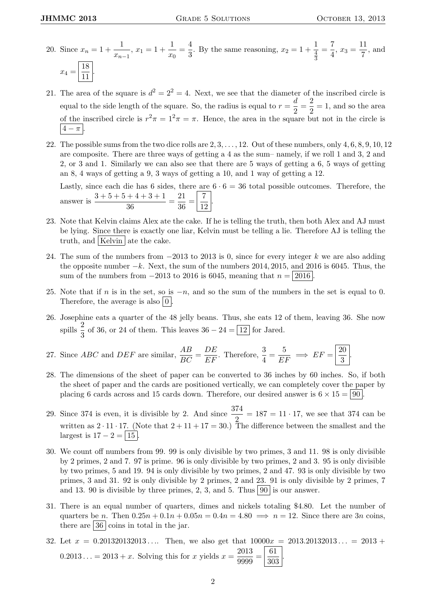- 20. Since  $x_n = 1 + \frac{1}{n}$  $\frac{1}{x_{n-1}}$ ,  $x_1 = 1 + \frac{1}{x_0}$  $\frac{1}{x_0} = \frac{4}{3}$  $\frac{4}{3}$ . By the same reasoning,  $x_2 = 1 + \frac{1}{\frac{4}{3}}$ 4 3  $=\frac{7}{4}$  $\frac{7}{4}$ ,  $x_3 = \frac{11}{7}$  $\frac{1}{7}$ , and  $x_4 = \frac{18}{11}$  $\frac{16}{11}$ .
- 21. The area of the square is  $d^2 = 2^2 = 4$ . Next, we see that the diameter of the inscribed circle is equal to the side length of the square. So, the radius is equal to  $r = \frac{d}{dx}$  $\frac{d}{2} = \frac{2}{2}$  $\frac{2}{2} = 1$ , and so the area of the inscribed circle is  $r^2 \pi = 1^2 \pi = \pi$ . Hence, the area in the square but not in the circle is  $|4-\pi|$ .
- 22. The possible sums from the two dice rolls are  $2, 3, \ldots, 12$ . Out of these numbers, only  $4, 6, 8, 9, 10, 12$ are composite. There are three ways of getting a 4 as the sum– namely, if we roll 1 and 3, 2 and 2, or 3 and 1. Similarly we can also see that there are 5 ways of getting a 6, 5 ways of getting an 8, 4 ways of getting a 9, 3 ways of getting a 10, and 1 way of getting a 12.

Lastly, since each die has 6 sides, there are  $6 \cdot 6 = 36$  total possible outcomes. Therefore, the answer is  $\frac{3+5+5+4+3+1}{36}$  $\frac{+4+3+1}{36} = \frac{21}{36}$  $rac{21}{36} = \frac{7}{12}$  $rac{1}{12}$ 

- 23. Note that Kelvin claims Alex ate the cake. If he is telling the truth, then both Alex and AJ must be lying. Since there is exactly one liar, Kelvin must be telling a lie. Therefore AJ is telling the truth, and | Kelvin | ate the cake.
- 24. The sum of the numbers from  $-2013$  to 2013 is 0, since for every integer k we are also adding the opposite number  $-k$ . Next, the sum of the numbers 2014, 2015, and 2016 is 6045. Thus, the sum of the numbers from  $-2013$  to 2016 is 6045, meaning that  $n = |2016|$
- 25. Note that if n is in the set, so is  $-n$ , and so the sum of the numbers in the set is equal to 0. Therefore, the average is also  $|0|$ .
- 26. Josephine eats a quarter of the 48 jelly beans. Thus, she eats 12 of them, leaving 36. She now spills  $\frac{2}{3}$  of 36, or 24 of them. This leaves  $36 - 24 = \boxed{12}$  for Jared.

27. Since *ABC* and *DEF* are similar, 
$$
\frac{AB}{BC} = \frac{DE}{EF}
$$
. Therefore,  $\frac{3}{4} = \frac{5}{EF} \implies EF = \boxed{\frac{20}{3}}$ .

- 28. The dimensions of the sheet of paper can be converted to 36 inches by 60 inches. So, if both the sheet of paper and the cards are positioned vertically, we can completely cover the paper by placing 6 cards across and 15 cards down. Therefore, our desired answer is  $6 \times 15 = |90|$ .
- 29. Since 374 is even, it is divisible by 2. And since  $\frac{374}{2} = 187 = 11 \cdot 17$ , we see that 374 can be written as  $2 \cdot 11 \cdot 17$ . (Note that  $2 + 11 + 17 = 30$ .) The difference between the smallest and the largest is  $17 - 2 = \boxed{15}$
- 30. We count off numbers from 99. 99 is only divisible by two primes, 3 and 11. 98 is only divisible by 2 primes, 2 and 7. 97 is prime. 96 is only divisible by two primes, 2 and 3. 95 is only divisible by two primes, 5 and 19. 94 is only divisible by two primes, 2 and 47. 93 is only divisible by two primes, 3 and 31. 92 is only divisible by 2 primes, 2 and 23. 91 is only divisible by 2 primes, 7 and 13. 90 is divisible by three primes, 2, 3, and 5. Thus  $\boxed{90}$  is our answer.
- 31. There is an equal number of quarters, dimes and nickels totaling \$4.80. Let the number of quarters be n. Then  $0.25n + 0.1n + 0.05n = 0.4n = 4.80 \implies n = 12$ . Since there are 3n coins, there are  $|36|$  coins in total in the jar.
- 32. Let  $x = 0.201320132013...$  Then, we also get that  $10000x = 2013.20132013... = 2013 +$  $0.2013... = 2013 + x$ . Solving this for x yields  $x = \frac{2013}{0.000}$  $\frac{2013}{9999} = \frac{61}{303}$ 303 .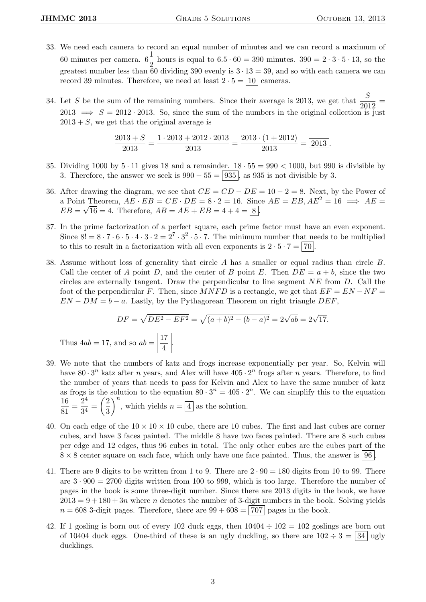- 33. We need each camera to record an equal number of minutes and we can record a maximum of 60 minutes per camera.  $6\frac{1}{2}$  hours is equal to  $6.5 \cdot 60 = 390$  minutes.  $390 = 2 \cdot 3 \cdot 5 \cdot 13$ , so the 2 greatest number less than 60 dividing 390 evenly is  $3 \cdot 13 = 39$ , and so with each camera we can record 39 minutes. Therefore, we need at least  $2 \cdot 5 = |10|$  cameras.
- 34. Let S be the sum of the remaining numbers. Since their average is 2013, we get that  $\frac{S}{2012}$  = 2013  $\implies$   $S = 2012 \cdot 2013$ . So, since the sum of the numbers in the original collection is just  $2013 + S$ , we get that the original average is

$$
\frac{2013 + S}{2013} = \frac{1 \cdot 2013 + 2012 \cdot 2013}{2013} = \frac{2013 \cdot (1 + 2012)}{2013} = \boxed{2013}.
$$

- 35. Dividing 1000 by  $5 \cdot 11$  gives 18 and a remainder.  $18 \cdot 55 = 990 \lt 1000$ , but 990 is divisible by 3. Therefore, the answer we seek is  $990 - 55 = 935$ , as 935 is not divisible by 3.
- 36. After drawing the diagram, we see that  $CE = CD DE = 10 2 = 8$ . Next, by the Power of a Point Theorem,  $AE \cdot EB = CE \cdot DE = 8 \cdot 2 = 16$ . Since  $AE = EB, AE^2 = 16 \implies AE =$  $EB = \sqrt{16} = 4.$  Therefore,  $AB = AE + EB = 4 + 4 = 8$ .
- 37. In the prime factorization of a perfect square, each prime factor must have an even exponent. Since  $8! = 8 \cdot 7 \cdot 6 \cdot 5 \cdot 4 \cdot 3 \cdot 2 = 2^7 \cdot 3^2 \cdot 5 \cdot 7$ . The minimum number that needs to be multiplied to this to result in a factorization with all even exponents is  $2 \cdot 5 \cdot 7 = 70$ .
- 38. Assume without loss of generality that circle A has a smaller or equal radius than circle B. Call the center of A point D, and the center of B point E. Then  $DE = a + b$ , since the two circles are externally tangent. Draw the perpendicular to line segment  $NE$  from  $D$ . Call the foot of the perpendicular F. Then, since  $MNFD$  is a rectangle, we get that  $EF = EN - NF =$  $EN - DM = b - a$ . Lastly, by the Pythagorean Theorem on right triangle DEF,

$$
DF = \sqrt{DE^2 - EF^2} = \sqrt{(a+b)^2 - (b-a)^2} = 2\sqrt{ab} = 2\sqrt{17}.
$$

Thus  $4ab = 17$ , and so  $ab = \frac{17}{4}$  $\frac{1}{4}$ 

- 39. We note that the numbers of katz and frogs increase exponentially per year. So, Kelvin will have  $80 \cdot 3^n$  katz after *n* years, and Alex will have  $405 \cdot 2^n$  frogs after *n* years. Therefore, to find the number of years that needs to pass for Kelvin and Alex to have the same number of katz as frogs is the solution to the equation  $80 \cdot 3^n = 405 \cdot 2^n$ . We can simplify this to the equation 16  $\frac{16}{81} = \frac{2^4}{3^4}$  $rac{2^4}{3^4} = \left(\frac{2}{3}\right)$ 3  $\bigg\}^n$ , which yields  $n = 4$  as the solution.
- 40. On each edge of the  $10 \times 10 \times 10$  cube, there are 10 cubes. The first and last cubes are corner cubes, and have 3 faces painted. The middle 8 have two faces painted. There are 8 such cubes per edge and 12 edges, thus 96 cubes in total. The only other cubes are the cubes part of the  $8 \times 8$  center square on each face, which only have one face painted. Thus, the answer is  $96$ .
- 41. There are 9 digits to be written from 1 to 9. There are  $2 \cdot 90 = 180$  digits from 10 to 99. There are  $3 \cdot 900 = 2700$  digits written from 100 to 999, which is too large. Therefore the number of pages in the book is some three-digit number. Since there are 2013 digits in the book, we have  $2013 = 9 + 180 + 3n$  where n denotes the number of 3-digit numbers in the book. Solving yields  $n = 608$  3-digit pages. Therefore, there are  $99 + 608 = |707|$  pages in the book.
- 42. If 1 gosling is born out of every 102 duck eggs, then  $10404 \div 102 = 102$  goslings are born out of 10404 duck eggs. One-third of these is an ugly duckling, so there are  $102 \div 3 = 34$  ugly ducklings.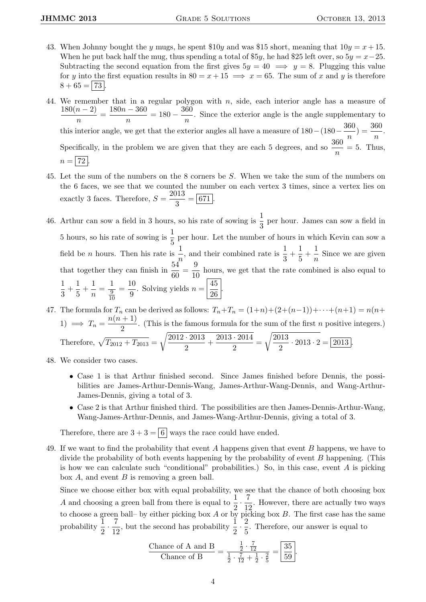- 43. When Johnny bought the y mugs, he spent  $$10y$  and was  $$15$  short, meaning that  $10y = x + 15$ . When he put back half the mug, thus spending a total of \$5y, he had \$25 left over, so  $5y = x-25$ . Subtracting the second equation from the first gives  $5y = 40 \implies y = 8$ . Plugging this value for y into the first equation results in  $80 = x + 15 \implies x = 65$ . The sum of x and y is therefore  $8 + 65 = |73|$
- 44. We remember that in a regular polygon with n, side, each interior angle has a measure of  $180(n-2)$  $\frac{(n-2)}{n} = \frac{180n - 360}{n}$  $\frac{-360}{n} = 180 - \frac{360}{n}$  $\frac{\infty}{n}$ . Since the exterior angle is the angle supplementary to this interior angle, we get that the exterior angles all have a measure of  $180 - (180 - \frac{360}{\sqrt{3}})$  $\frac{360}{n}$ ) =  $\frac{360}{n}$ . Specifically, in the problem we are given that they are each 5 degrees, and so  $\frac{360}{n} = 5$ . Thus,  $n = | 72 |$
- 45. Let the sum of the numbers on the 8 corners be S. When we take the sum of the numbers on the 6 faces, we see that we counted the number on each vertex 3 times, since a vertex lies on exactly 3 faces. Therefore,  $S = \frac{2013}{3}$  $rac{3}{3} = \boxed{671}.$
- 46. Arthur can sow a field in 3 hours, so his rate of sowing is  $\frac{1}{3}$  per hour. James can sow a field in 5 hours, so his rate of sowing is  $\frac{1}{5}$  per hour. Let the number of hours in which Kevin can sow a field be *n* hours. Then his rate is  $\frac{1}{n}$ , and their combined rate is  $\frac{1}{3} + \frac{1}{5}$  $\frac{1}{5} + \frac{1}{n}$  $\frac{1}{n}$  Since we are given that together they can finish in  $\frac{54}{60} = \frac{9}{10}$  $\frac{6}{10}$  hours, we get that the rate combined is also equal to 1  $\frac{1}{3} + \frac{1}{5}$  $\frac{1}{5} + \frac{1}{n}$  $\frac{1}{n} = \frac{1}{\frac{9}{10}}$ 9 10  $=\frac{10}{2}$  $\frac{10}{9}$ . Solving yields  $n = \frac{45}{26}$  $\frac{15}{26}$

47. The formula for  $T_n$  can be derived as follows:  $T_n+T_n = (1+n)+(2+(n-1))+\cdots+(n+1) = n(n+1)$ 1)  $\implies T_n = \frac{n(n+1)}{2}$  $\frac{1}{2}$ . (This is the famous formula for the sum of the first *n* positive integers.) Therefore,  $\sqrt{T_{2012} + T_{2013}}$  =  $\sqrt{2012 \cdot 2013}$  $\frac{+2013}{2} + \frac{2013 \cdot 2014}{2}$  $\frac{2011}{2}$  =  $\sqrt{2013}$  $\frac{918}{2} \cdot 2013 \cdot 2 = 2013.$ 

- 48. We consider two cases.
	- Case 1 is that Arthur finished second. Since James finished before Dennis, the possibilities are James-Arthur-Dennis-Wang, James-Arthur-Wang-Dennis, and Wang-Arthur-James-Dennis, giving a total of 3.
	- Case 2 is that Arthur finished third. The possibilities are then James-Dennis-Arthur-Wang, Wang-James-Arthur-Dennis, and James-Wang-Arthur-Dennis, giving a total of 3.

Therefore, there are  $3 + 3 = 6$  ways the race could have ended.

49. If we want to find the probability that event A happens given that event B happens, we have to divide the probability of both events happening by the probability of event B happening. (This is how we can calculate such "conditional" probabilities.) So, in this case, event  $A$  is picking box A, and event B is removing a green ball.

Since we choose either box with equal probability, we see that the chance of both choosing box A and choosing a green ball from there is equal to  $\frac{1}{2} \cdot \frac{7}{12}$  $\frac{1}{12}$ . However, there are actually two ways to choose a green ball– by either picking box  $A$  or by picking box  $B$ . The first case has the same probability  $\frac{1}{2} \cdot \frac{7}{12}$  $\frac{7}{12}$ , but the second has probability  $\frac{1}{2} \cdot \frac{2}{5}$  $\frac{2}{5}$ . Therefore, our answer is equal to

$$
\frac{\text{Change of A and B}}{\text{Change of B}} = \frac{\frac{1}{2} \cdot \frac{7}{12}}{\frac{1}{2} \cdot \frac{7}{12} + \frac{1}{2} \cdot \frac{2}{5}} = \boxed{\frac{35}{59}}.
$$